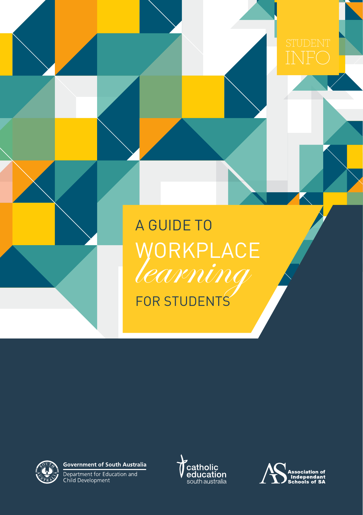



**Government of South Australia** 

Department for Education and<br>Child Development



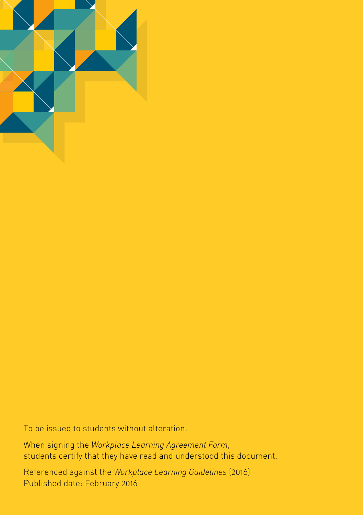

To be issued to students without alteration.

When signing the *Workplace Learning Agreement Form*, students certify that they have read and understood this document.

Referenced against the *Workplace Learning Guidelines* (2016) Published date: February 2016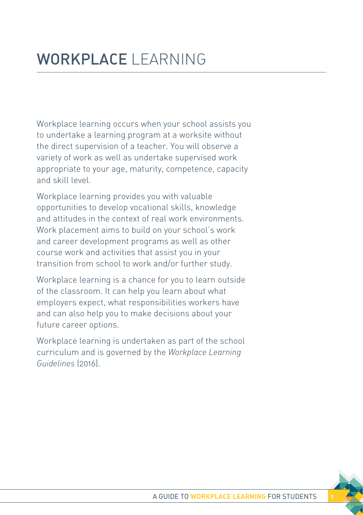Workplace learning occurs when your school assists you to undertake a learning program at a worksite without the direct supervision of a teacher. You will observe a variety of work as well as undertake supervised work appropriate to your age, maturity, competence, capacity and skill level.

Workplace learning provides you with valuable opportunities to develop vocational skills, knowledge and attitudes in the context of real work environments. Work placement aims to build on your school's work and career development programs as well as other course work and activities that assist you in your transition from school to work and/or further study.

Workplace learning is a chance for you to learn outside of the classroom. It can help you learn about what employers expect, what responsibilities workers have and can also help you to make decisions about your future career options.

Workplace learning is undertaken as part of the school curriculum and is governed by the *Workplace Learning Guidelines* (2016).

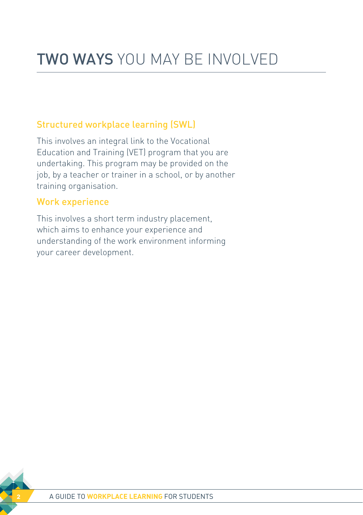# Structured workplace learning (SWL)

This involves an integral link to the Vocational Education and Training (VET) program that you are undertaking. This program may be provided on the job, by a teacher or trainer in a school, or by another training organisation.

#### Work experience

This involves a short term industry placement, which aims to enhance your experience and understanding of the work environment informing your career development.

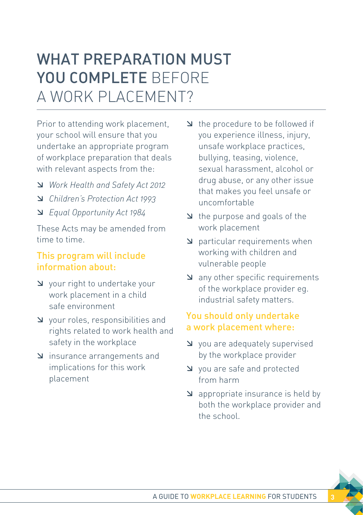# WHAT PREPARATION MUST YOU COMPLETE BEEORE A WORK PLACEMENT?

Prior to attending work placement, your school will ensure that you undertake an appropriate program of workplace preparation that deals with relevant aspects from the:

- æ *Work Health and Safety Act 2012*
- æ *Children's Protection Act 1993*
- æ *Equal Opportunity Act 1984*

These Acts may be amended from time to time.

#### This program will include information about:

- Y your right to undertake your work placement in a child safe environment
- æ your roles, responsibilities and rights related to work health and safety in the workplace
- æ insurance arrangements and implications for this work placement
- $\triangle$  the procedure to be followed if you experience illness, injury, unsafe workplace practices, bullying, teasing, violence, sexual harassment, alcohol or drug abuse, or any other issue that makes you feel unsafe or uncomfortable
- $\Delta$  the purpose and goals of the work placement
- $\Delta$  particular requirements when working with children and vulnerable people
- $\Delta$  any other specific requirements of the workplace provider eg. industrial safety matters.

# You should only undertake a work placement where:

- æ you are adequately supervised by the workplace provider
- æ you are safe and protected from harm
- $\Delta$  appropriate insurance is held by both the workplace provider and the school.

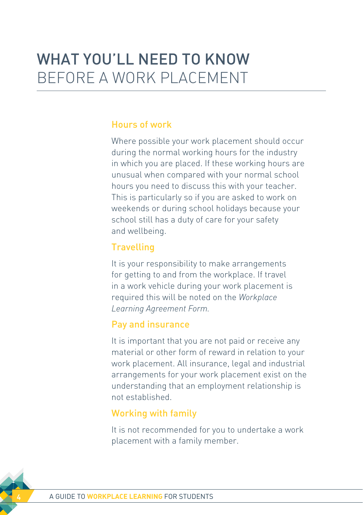# WHAT YOU'LL NEED TO KNOW BEFORE A WORK PLACEMENT

### Hours of work

Where possible your work placement should occur during the normal working hours for the industry in which you are placed. If these working hours are unusual when compared with your normal school hours you need to discuss this with your teacher. This is particularly so if you are asked to work on weekends or during school holidays because your school still has a duty of care for your safety and wellbeing.

### **Travelling**

It is your responsibility to make arrangements for getting to and from the workplace. If travel in a work vehicle during your work placement is required this will be noted on the *Workplace Learning Agreement Form.*

#### Pay and insurance

It is important that you are not paid or receive any material or other form of reward in relation to your work placement. All insurance, legal and industrial arrangements for your work placement exist on the understanding that an employment relationship is not established.

# Working with family

It is not recommended for you to undertake a work placement with a family member.

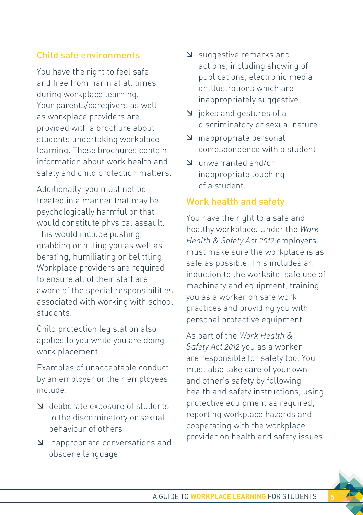# Child safe environments

You have the right to feel safe and free from harm at all times during workplace learning. Your parents/caregivers as well as workplace providers are provided with a brochure about students undertaking workplace learning. These brochures contain information about work health and safety and child protection matters.

Additionally, you must not be treated in a manner that may be psychologically harmful or that would constitute physical assault. This would include pushing, grabbing or hitting you as well as berating, humiliating or belittling. Workplace providers are required to ensure all of their staff are aware of the special responsibilities associated with working with school students.

Child protection legislation also applies to you while you are doing work placement.

Examples of unacceptable conduct by an employer or their employees include:

- æ deliberate exposure of students to the discriminatory or sexual behaviour of others
- æ inappropriate conversations and obscene language
- suggestive remarks and actions, including showing of publications, electronic media or illustrations which are inappropriately suggestive
- æ jokes and gestures of a discriminatory or sexual nature
- æ inappropriate personal correspondence with a student
- æ unwarranted and/or inappropriate touching of a student.

# Work health and safety

You have the right to a safe and healthy workplace. Under the *Work Health & Safety Act 2012* employers must make sure the workplace is as safe as possible. This includes an induction to the worksite, safe use of machinery and equipment, training you as a worker on safe work practices and providing you with personal protective equipment.

As part of the *Work Health & Safety Act 2012* you as a worker are responsible for safety too. You must also take care of your own and other's safety by following health and safety instructions, using protective equipment as required, reporting workplace hazards and cooperating with the workplace provider on health and safety issues.

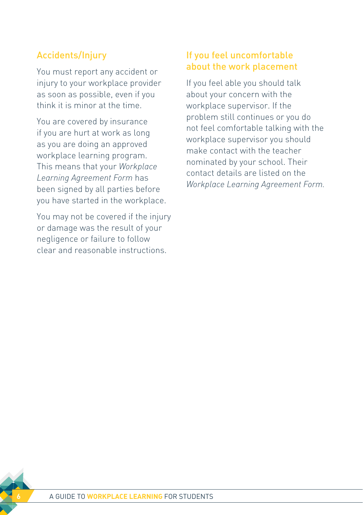# Accidents/Injury

You must report any accident or injury to your workplace provider as soon as possible, even if you think it is minor at the time.

You are covered by insurance if you are hurt at work as long as you are doing an approved workplace learning program. This means that your *Workplace Learning Agreement Form* has been signed by all parties before you have started in the workplace.

You may not be covered if the injury or damage was the result of your negligence or failure to follow clear and reasonable instructions.

### If you feel uncomfortable about the work placement

If you feel able you should talk about your concern with the workplace supervisor. If the problem still continues or you do not feel comfortable talking with the workplace supervisor you should make contact with the teacher nominated by your school. Their contact details are listed on the *Workplace Learning Agreement Form.*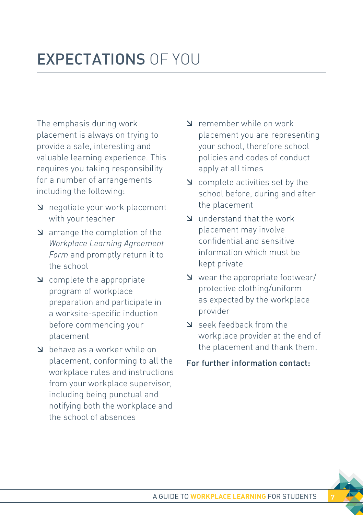# EXPECTATIONS OF YOU

The emphasis during work placement is always on trying to provide a safe, interesting and valuable learning experience. This requires you taking responsibility for a number of arrangements including the following:

- æ negotiate your work placement with your teacher
- $\Delta$  arrange the completion of the *Workplace Learning Agreement Form* and promptly return it to the school
- æ complete the appropriate program of workplace preparation and participate in a worksite-specific induction before commencing your placement
- æ behave as a worker while on placement, conforming to all the workplace rules and instructions from your workplace supervisor, including being punctual and notifying both the workplace and the school of absences
- æ remember while on work placement you are representing your school, therefore school policies and codes of conduct apply at all times
- $\Delta$  complete activities set by the school before, during and after the placement
- æ understand that the work placement may involve confidential and sensitive information which must be kept private
- $\vee$  wear the appropriate footwear/ protective clothing/uniform as expected by the workplace provider
- æ seek feedback from the workplace provider at the end of the placement and thank them.

#### For further information contact:

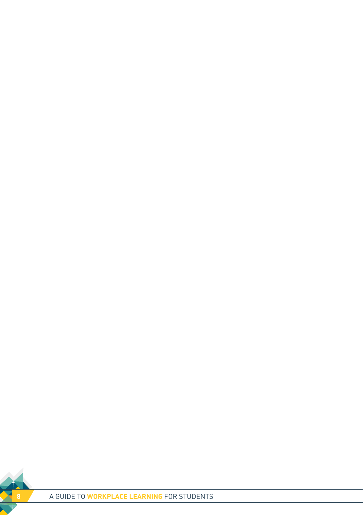

 $\sum_{i=1}^{n}$